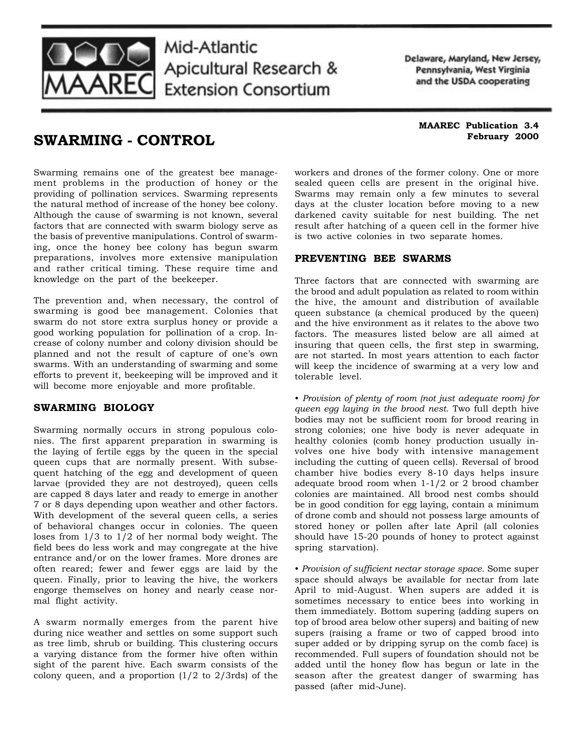

# Mid-Atlantic Apicultural Research & **Extension Consortium**

Delaware, Maryland, New Jersey, Pennsylvania, West Virginia and the USDA cooperating

## **SWARMING - CONTROL**

**MAAREC Publication 3.4 February 2000**

Swarming remains one of the greatest bee management problems in the production of honey or the providing of pollination services. Swarming represents the natural method of increase of the honey bee colony. Although the cause of swarming is not known, several factors that are connected with swarm biology serve as the basis of preventive manipulations. Control of swarming, once the honey bee colony has begun swarm preparations, involves more extensive manipulation and rather critical timing. These require time and knowledge on the part of the beekeeper.

The prevention and, when necessary, the control of swarming is good bee management. Colonies that swarm do not store extra surplus honey or provide a good working population for pollination of a crop. Increase of colony number and colony division should be planned and not the result of capture of one's own swarms. With an understanding of swarming and some efforts to prevent it, beekeeping will be improved and it will become more enjoyable and more profitable.

### **SWARMING BIOLOGY**

Swarming normally occurs in strong populous colonies. The first apparent preparation in swarming is the laying of fertile eggs by the queen in the special queen cups that are normally present. With subsequent hatching of the egg and development of queen larvae (provided they are not destroyed), queen cells are capped 8 days later and ready to emerge in another 7 or 8 days depending upon weather and other factors. With development of the several queen cells, a series of behavioral changes occur in colonies. The queen loses from 1/3 to 1/2 of her normal body weight. The field bees do less work and may congregate at the hive entrance and/or on the lower frames. More drones are often reared; fewer and fewer eggs are laid by the queen. Finally, prior to leaving the hive, the workers engorge themselves on honey and nearly cease normal flight activity.

A swarm normally emerges from the parent hive during nice weather and settles on some support such as tree limb, shrub or building. This clustering occurs a varying distance from the former hive often within sight of the parent hive. Each swarm consists of the colony queen, and a proportion  $(1/2$  to  $2/3$ rds) of the

workers and drones of the former colony. One or more sealed queen cells are present in the original hive. Swarms may remain only a few minutes to several days at the cluster location before moving to a new darkened cavity suitable for nest building. The net result after hatching of a queen cell in the former hive is two active colonies in two separate homes.

### **PREVENTING BEE SWARMS**

Three factors that are connected with swarming are the brood and adult population as related to room within the hive, the amount and distribution of available queen substance (a chemical produced by the queen) and the hive environment as it relates to the above two factors. The measures listed below are all aimed at insuring that queen cells, the first step in swarming, are not started. In most years attention to each factor will keep the incidence of swarming at a very low and tolerable level.

• *Provision of plenty of room (not just adequate room) for queen egg laying in the brood nest.* Two full depth hive bodies may not be sufficient room for brood rearing in strong colonies; one hive body is never adequate in healthy colonies (comb honey production usually involves one hive body with intensive management including the cutting of queen cells). Reversal of brood chamber hive bodies every 8-10 days helps insure adequate brood room when 1-1/2 or 2 brood chamber colonies are maintained. All brood nest combs should be in good condition for egg laying, contain a minimum of drone comb and should not possess large amounts of stored honey or pollen after late April (all colonies should have 15-20 pounds of honey to protect against spring starvation).

• *Provision of sufficient nectar storage space.* Some super space should always be available for nectar from late April to mid-August. When supers are added it is sometimes necessary to entice bees into working in them immediately. Bottom supering (adding supers on top of brood area below other supers) and baiting of new supers (raising a frame or two of capped brood into super added or by dripping syrup on the comb face) is recommended. Full supers of foundation should not be added until the honey flow has begun or late in the season after the greatest danger of swarming has passed (after mid-June).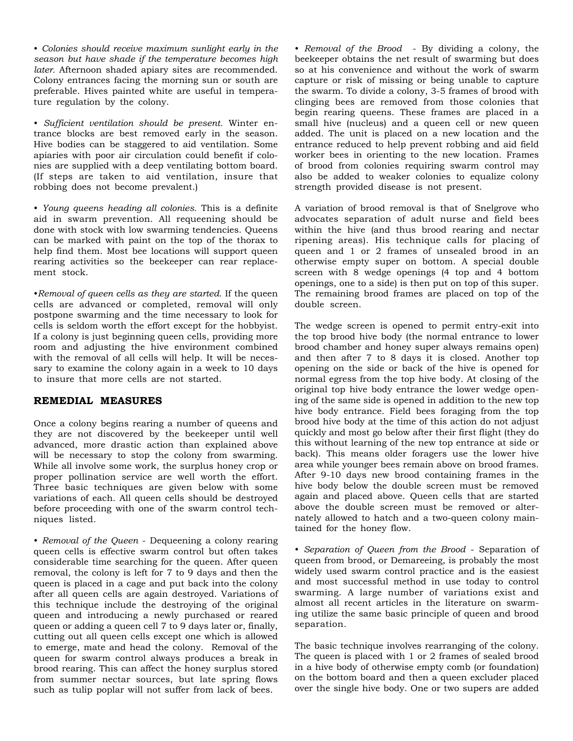• *Colonies should receive maximum sunlight early in the season but have shade if the temperature becomes high later.* Afternoon shaded apiary sites are recommended. Colony entrances facing the morning sun or south are preferable. Hives painted white are useful in temperature regulation by the colony.

• *Sufficient ventilation should be present.* Winter entrance blocks are best removed early in the season. Hive bodies can be staggered to aid ventilation. Some apiaries with poor air circulation could benefit if colonies are supplied with a deep ventilating bottom board. (If steps are taken to aid ventilation, insure that robbing does not become prevalent.)

• *Young queens heading all colonies.* This is a definite aid in swarm prevention. All requeening should be done with stock with low swarming tendencies. Queens can be marked with paint on the top of the thorax to help find them. Most bee locations will support queen rearing activities so the beekeeper can rear replacement stock.

•*Removal of queen cells as they are started.* If the queen cells are advanced or completed, removal will only postpone swarming and the time necessary to look for cells is seldom worth the effort except for the hobbyist. If a colony is just beginning queen cells, providing more room and adjusting the hive environment combined with the removal of all cells will help. It will be necessary to examine the colony again in a week to 10 days to insure that more cells are not started.

#### **REMEDIAL MEASURES**

Once a colony begins rearing a number of queens and they are not discovered by the beekeeper until well advanced, more drastic action than explained above will be necessary to stop the colony from swarming. While all involve some work, the surplus honey crop or proper pollination service are well worth the effort. Three basic techniques are given below with some variations of each. All queen cells should be destroyed before proceeding with one of the swarm control techniques listed.

• *Removal of the Queen* - Dequeening a colony rearing queen cells is effective swarm control but often takes considerable time searching for the queen. After queen removal, the colony is left for 7 to 9 days and then the queen is placed in a cage and put back into the colony after all queen cells are again destroyed. Variations of this technique include the destroying of the original queen and introducing a newly purchased or reared queen or adding a queen cell 7 to 9 days later or, finally, cutting out all queen cells except one which is allowed to emerge, mate and head the colony. Removal of the queen for swarm control always produces a break in brood rearing. This can affect the honey surplus stored from summer nectar sources, but late spring flows such as tulip poplar will not suffer from lack of bees.

• *Removal of the Brood* - By dividing a colony, the beekeeper obtains the net result of swarming but does so at his convenience and without the work of swarm capture or risk of missing or being unable to capture the swarm. To divide a colony, 3-5 frames of brood with clinging bees are removed from those colonies that begin rearing queens. These frames are placed in a small hive (nucleus) and a queen cell or new queen added. The unit is placed on a new location and the entrance reduced to help prevent robbing and aid field worker bees in orienting to the new location. Frames of brood from colonies requiring swarm control may also be added to weaker colonies to equalize colony strength provided disease is not present.

A variation of brood removal is that of Snelgrove who advocates separation of adult nurse and field bees within the hive (and thus brood rearing and nectar ripening areas). His technique calls for placing of queen and 1 or 2 frames of unsealed brood in an otherwise empty super on bottom. A special double screen with 8 wedge openings (4 top and 4 bottom openings, one to a side) is then put on top of this super. The remaining brood frames are placed on top of the double screen.

The wedge screen is opened to permit entry-exit into the top brood hive body (the normal entrance to lower brood chamber and honey super always remains open) and then after 7 to 8 days it is closed. Another top opening on the side or back of the hive is opened for normal egress from the top hive body. At closing of the original top hive body entrance the lower wedge opening of the same side is opened in addition to the new top hive body entrance. Field bees foraging from the top brood hive body at the time of this action do not adjust quickly and most go below after their first flight (they do this without learning of the new top entrance at side or back). This means older foragers use the lower hive area while younger bees remain above on brood frames. After 9-10 days new brood containing frames in the hive body below the double screen must be removed again and placed above. Queen cells that are started above the double screen must be removed or alternately allowed to hatch and a two-queen colony maintained for the honey flow.

• *Separation of Queen from the Brood* - Separation of queen from brood, or Demareeing, is probably the most widely used swarm control practice and is the easiest and most successful method in use today to control swarming. A large number of variations exist and almost all recent articles in the literature on swarming utilize the same basic principle of queen and brood separation.

The basic technique involves rearranging of the colony. The queen is placed with 1 or 2 frames of sealed brood in a hive body of otherwise empty comb (or foundation) on the bottom board and then a queen excluder placed over the single hive body. One or two supers are added